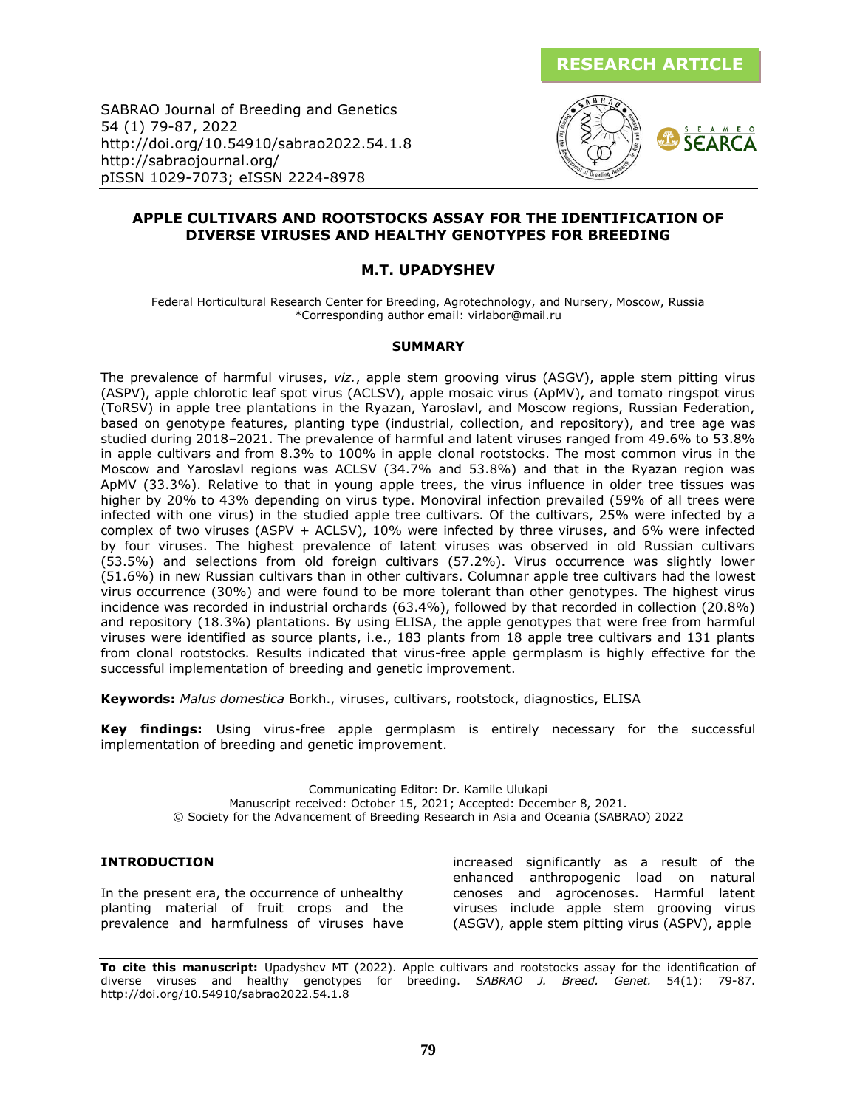

SABRAO Journal of Breeding and Genetics 54 (1) 79-87, 2022 http://doi.org/10.54910/sabrao2022.54.1.8 http://sabraojournal.org/ pISSN 1029-7073; eISSN 2224-8978



### **APPLE CULTIVARS AND ROOTSTOCKS ASSAY FOR THE IDENTIFICATION OF DIVERSE VIRUSES AND HEALTHY GENOTYPES FOR BREEDING**

### **M.T. UPADYSHEV**

Federal Horticultural Research Center for Breeding, Agrotechnology, and Nursery, Moscow, Russia \*Corresponding author email: virlabor@mail.ru

#### **SUMMARY**

The prevalence of harmful viruses, *viz.*, apple stem grooving virus (ASGV), apple stem pitting virus (ASPV), apple chlorotic leaf spot virus (ACLSV), apple mosaic virus (ApMV), and tomato ringspot virus (ToRSV) in apple tree plantations in the Ryazan, Yaroslavl, and Moscow regions, Russian Federation, based on genotype features, planting type (industrial, collection, and repository), and tree age was studied during 2018–2021. The prevalence of harmful and latent viruses ranged from 49.6% to 53.8% in apple cultivars and from 8.3% to 100% in apple clonal rootstocks. The most common virus in the Moscow and Yaroslavl regions was ACLSV (34.7% and 53.8%) and that in the Ryazan region was ApMV (33.3%). Relative to that in young apple trees, the virus influence in older tree tissues was higher by 20% to 43% depending on virus type. Monoviral infection prevailed (59% of all trees were infected with one virus) in the studied apple tree cultivars. Of the cultivars, 25% were infected by a complex of two viruses (ASPV + ACLSV), 10% were infected by three viruses, and 6% were infected by four viruses. The highest prevalence of latent viruses was observed in old Russian cultivars (53.5%) and selections from old foreign cultivars (57.2%). Virus occurrence was slightly lower (51.6%) in new Russian cultivars than in other cultivars. Columnar apple tree cultivars had the lowest virus occurrence (30%) and were found to be more tolerant than other genotypes. The highest virus incidence was recorded in industrial orchards (63.4%), followed by that recorded in collection (20.8%) and repository (18.3%) plantations. By using ELISA, the apple genotypes that were free from harmful viruses were identified as source plants, i.e., 183 plants from 18 apple tree cultivars and 131 plants from clonal rootstocks. Results indicated that virus-free apple germplasm is highly effective for the successful implementation of breeding and genetic improvement.

**Keywords:** *Malus domesticа* Borkh., viruses, cultivars, rootstock, diagnostics, ELISA

**Key findings:** Using virus-free apple germplasm is entirely necessary for the successful implementation of breeding and genetic improvement.

> Communicating Editor: Dr. Kamile Ulukapi Manuscript received: October 15, 2021; Accepted: December 8, 2021. © Society for the Advancement of Breeding Research in Asia and Oceania (SABRAO) 2022

### **INTRODUCTION**

In the present era, the occurrence of unhealthy planting material of fruit crops and the prevalence and harmfulness of viruses have

increased significantly as a result of the enhanced anthropogenic load on natural cenoses and agrocenoses. Harmful latent viruses include apple stem grooving virus (ASGV), apple stem pitting virus (ASPV), apple

**To cite this manuscript:** Upadyshev MT (2022). Apple cultivars and rootstocks assay for the identification of diverse viruses and healthy genotypes for breeding. *SABRAO J. Breed. Genet.* 54(1): 79-87. http://doi.org/10.54910/sabrao2022.54.1.8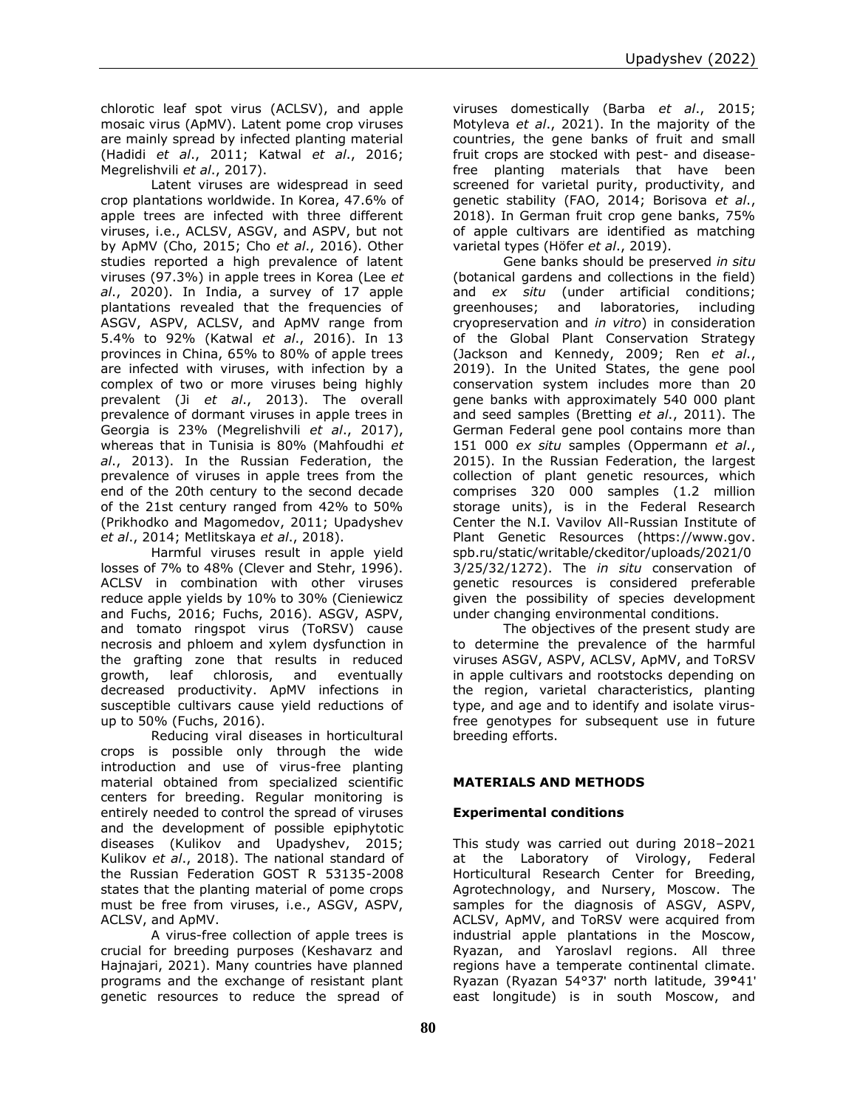chlorotic leaf spot virus (ACLSV), and apple mosaic virus (ApMV). Latent pome crop viruses are mainly spread by infected planting material (Hadidi *et al*., 2011; Katwal *et al*., 2016; Megrelishvili *et al*., 2017).

Latent viruses are widespread in seed crop plantations worldwide. In Korea, 47.6% of apple trees are infected with three different viruses, i.e., ACLSV, ASGV, and ASPV, but not by ApMV (Cho, 2015; Cho *et al*., 2016). Other studies reported a high prevalence of latent viruses (97.3%) in apple trees in Korea (Lee *et al*., 2020). In India, a survey of 17 apple plantations revealed that the frequencies of ASGV, ASPV, ACLSV, and ApMV range from 5.4% to 92% (Katwal *et al*., 2016). In 13 provinces in China, 65% to 80% of apple trees are infected with viruses, with infection by a complex of two or more viruses being highly prevalent (Ji *et al*., 2013). The overall prevalence of dormant viruses in apple trees in Georgia is 23% (Megrelishvili *et al*., 2017), whereas that in Tunisia is 80% (Mahfoudhi *et al*., 2013). In the Russian Federation, the prevalence of viruses in apple trees from the end of the 20th century to the second decade of the 21st century ranged from 42% to 50% (Prikhodko and Magomedov, 2011; Upadyshev *et al*., 2014; Metlitskaya *et al*., 2018).

Harmful viruses result in apple yield losses of 7% to 48% (Clever and Stehr, 1996). ACLSV in combination with other viruses reduce apple yields by 10% to 30% (Cieniewicz and Fuchs, 2016; Fuchs, 2016). ASGV, ASPV, and tomato ringspot virus (ToRSV) cause necrosis and phloem and xylem dysfunction in the grafting zone that results in reduced growth, leaf chlorosis, and eventually decreased productivity. ApMV infections in susceptible cultivars cause yield reductions of up to 50% (Fuchs, 2016).

Reducing viral diseases in horticultural crops is possible only through the wide introduction and use of virus-free planting material obtained from specialized scientific centers for breeding. Regular monitoring is entirely needed to control the spread of viruses and the development of possible epiphytotic diseases (Kulikov and Upadyshev, 2015; Kulikov *et al*., 2018). The national standard of the Russian Federation GOST R 53135-2008 states that the planting material of pome crops must be free from viruses, i.e., ASGV, ASPV, ACLSV, and ApMV.

A virus-free collection of apple trees is crucial for breeding purposes (Keshavarz and Hajnajari, 2021). Many countries have planned programs and the exchange of resistant plant genetic resources to reduce the spread of viruses domestically (Barba *et al*., 2015; Motyleva *et al*., 2021). In the majority of the countries, the gene banks of fruit and small fruit crops are stocked with pest- and diseasefree planting materials that have been screened for varietal purity, productivity, and genetic stability (FAO, 2014; Borisova *et al*., 2018). In German fruit crop gene banks, 75% of apple cultivars are identified as matching varietal types (Höfer *et al*., 2019).

Gene banks should be preserved *in situ* (botanical gardens and collections in the field) and *ex situ* (under artificial conditions; greenhouses; and laboratories, including cryopreservation and *in vitro*) in consideration of the Global Plant Conservation Strategy (Jackson and Kennedy, 2009; Ren *et al*., 2019). In the United States, the gene pool conservation system includes more than 20 gene banks with approximately 540 000 plant and seed samples (Bretting *et al*., 2011). The German Federal gene pool contains more than 151 000 *ex situ* samples (Oppermann *et al*., 2015). In the Russian Federation, the largest collection of plant genetic resources, which comprises 320 000 samples (1.2 million storage units), is in the Federal Research Center the N.I. Vavilov All-Russian Institute of Plant Genetic Resources [\(https://www.gov.](https://www.gov/) spb.ru/static/writable/ckeditor/uploads/2021/0 3/25/32/1272). The *in situ* conservation of genetic resources is considered preferable given the possibility of species development under changing environmental conditions.

The objectives of the present study are to determine the prevalence of the harmful viruses ASGV, ASPV, ACLSV, ApMV, and ToRSV in apple cultivars and rootstocks depending on the region, varietal characteristics, planting type, and age and to identify and isolate virusfree genotypes for subsequent use in future breeding efforts.

# **MATERIALS AND METHODS**

## **Experimental conditions**

This study was carried out during 2018–2021 at the Laboratory of Virology, Federal Horticultural Research Center for Breeding, Agrotechnology, and Nursery, Moscow. The samples for the diagnosis of ASGV, ASPV, ACLSV, ApMV, and ToRSV were acquired from industrial apple plantations in the Moscow, Ryazan, and Yaroslavl regions. All three regions have a temperate continental climate. Ryazan (Ryazan 54°37ʹ north latitude, 39**°**41ʹ east longitude) is in south Moscow, and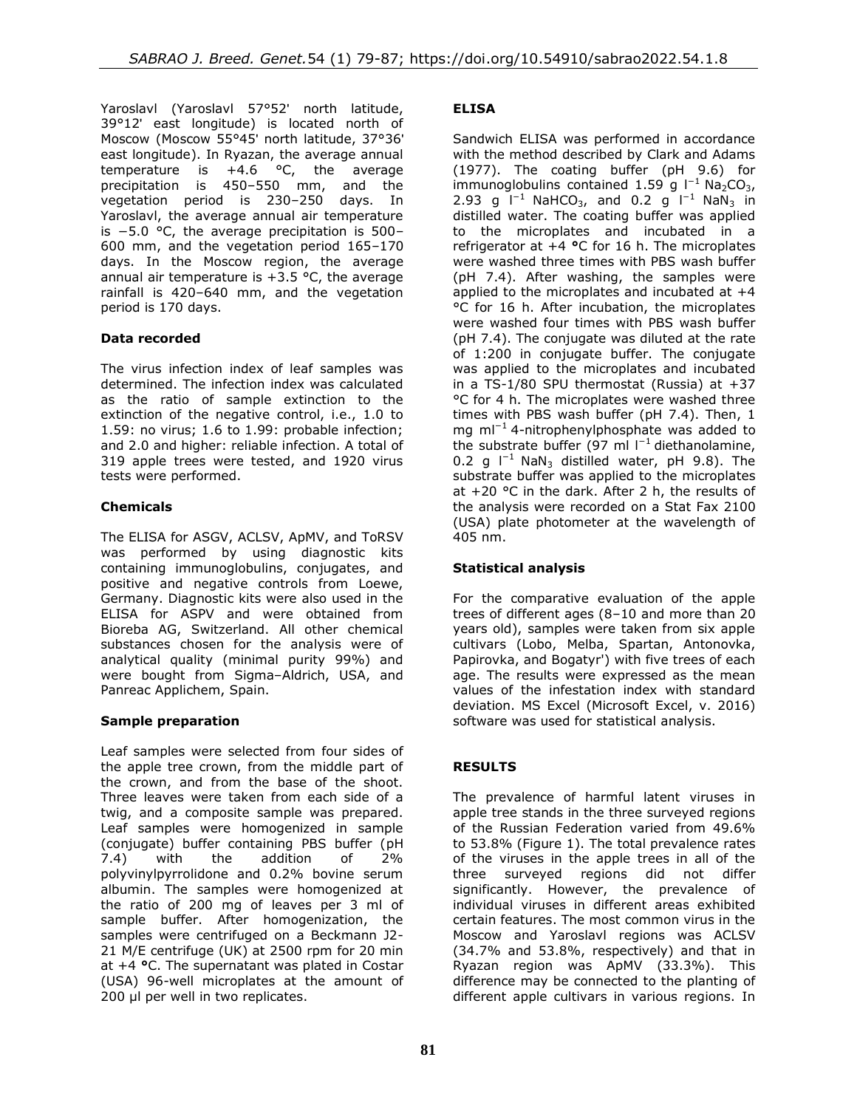Yaroslavl (Yaroslavl 57°52ʹ north latitude, 39°12ʹ east longitude) is located north of Moscow (Moscow 55°45ʹ north latitude, 37°36ʹ east longitude). In Ryazan, the average annual temperature is  $+4.6$  °C, the average precipitation is 450–550 mm, and the vegetation period is 230–250 days. In Yaroslavl, the average annual air temperature is −5.0 °C, the average precipitation is 500– 600 mm, and the vegetation period 165–170 days. In the Moscow region, the average annual air temperature is  $+3.5$  °C, the average rainfall is 420–640 mm, and the vegetation period is 170 days.

## **Data recorded**

The virus infection index of leaf samples was determined. The infection index was calculated as the ratio of sample extinction to the extinction of the negative control, i.e., 1.0 to 1.59: no virus; 1.6 to 1.99: probable infection; and 2.0 and higher: reliable infection. A total of 319 apple trees were tested, and 1920 virus tests were performed.

## **Chemicals**

The ELISA for ASGV, ACLSV, ApMV, and ToRSV was performed by using diagnostic kits containing immunoglobulins, conjugates, and positive and negative controls from Loewe, Germany. Diagnostic kits were also used in the ELISA for ASPV and were obtained from Bioreba AG, Switzerland. All other chemical substances chosen for the analysis were of analytical quality (minimal purity 99%) and were bought from Sigma–Aldrich, USA, and Panreac Applichem, Spain.

### **Sample preparation**

Leaf samples were selected from four sides of the apple tree crown, from the middle part of the crown, and from the base of the shoot. Three leaves were taken from each side of a twig, and a composite sample was prepared. Leaf samples were homogenized in sample (conjugate) buffer containing PBS buffer (pH 7.4) with the addition of 2% polyvinylpyrrolidone and 0.2% bovine serum albumin. The samples were homogenized at the ratio of 200 mg of leaves per 3 ml of sample buffer. After homogenization, the samples were centrifuged on a Beckmann J2- 21 M/E centrifuge (UK) at 2500 rpm for 20 min at +4 **°**C. The supernatant was plated in Costar (USA) 96-well microplates at the amount of 200 μl per well in two replicates.

### **ELISA**

Sandwich ELISA was performed in accordance with the method described by Clark and Adams (1977). The coating buffer (pH 9.6) for immunoglobulins contained 1.59 g l<sup>−1</sup>Na<sub>2</sub>CO<sub>3</sub>, 2.93 g  $I^{-1}$  NaHCO<sub>3</sub>, and 0.2 g  $I^{-1}$  NaN<sub>3</sub> in distilled water. The coating buffer was applied to the microplates and incubated in a refrigerator at +4 **°**C for 16 h. The microplates were washed three times with PBS wash buffer (pH 7.4). After washing, the samples were applied to the microplates and incubated at +4 °C for 16 h. After incubation, the microplates were washed four times with PBS wash buffer (pH 7.4). The conjugate was diluted at the rate of 1:200 in conjugate buffer. The conjugate was applied to the microplates and incubated in a TS-1/80 SPU thermostat (Russia) at +37 °C for 4 h. The microplates were washed three times with PBS wash buffer (pH 7.4). Then, 1 mg ml<sup>-1</sup>4-nitrophenylphosphate was added to the substrate buffer (97 ml  $l^{-1}$  diethanolamine, 0.2 g  $I^{-1}$  NaN<sub>3</sub> distilled water, pH 9.8). The substrate buffer was applied to the microplates at  $+20$  °C in the dark. After 2 h, the results of the analysis were recorded on a Stat Fax 2100 (USA) plate photometer at the wavelength of 405 nm.

### **Statistical analysis**

For the comparative evaluation of the apple trees of different ages (8–10 and more than 20 years old), samples were taken from six apple cultivars (Lobo, Melba, Spartan, Antonovka, Papirovka, and Bogatyr') with five trees of each age. The results were expressed as the mean values of the infestation index with standard deviation. MS Excel (Microsoft Excel, v. 2016) software was used for statistical analysis.

### **RESULTS**

The prevalence of harmful latent viruses in apple tree stands in the three surveyed regions of the Russian Federation varied from 49.6% to 53.8% (Figure 1). The total prevalence rates of the viruses in the apple trees in all of the three surveyed regions did not differ significantly. However, the prevalence of individual viruses in different areas exhibited certain features. The most common virus in the Moscow and Yaroslavl regions was ACLSV (34.7% and 53.8%, respectively) and that in Ryazan region was ApMV (33.3%). This difference may be connected to the planting of different apple cultivars in various regions. In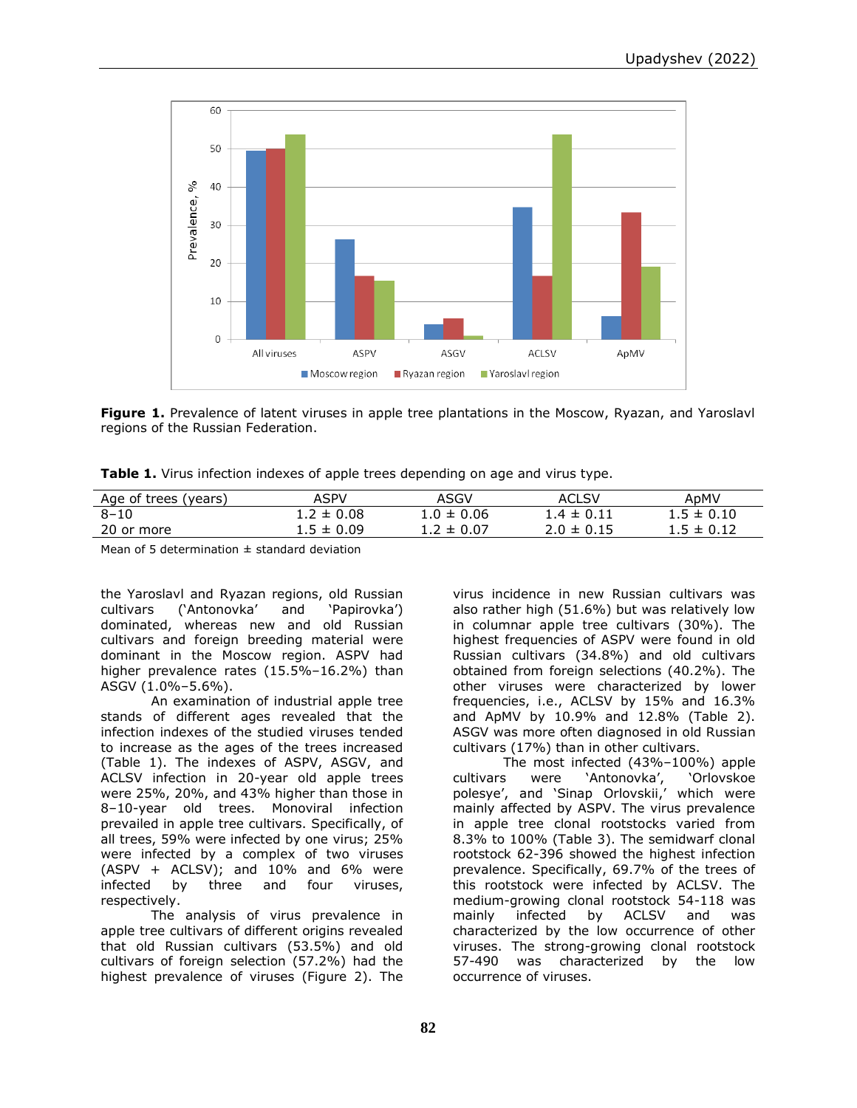

**Figure 1.** Prevalence of latent viruses in apple tree plantations in the Moscow, Ryazan, and Yaroslavl regions of the Russian Federation.

| Table 1. Virus infection indexes of apple trees depending on age and virus type. |  |  |  |
|----------------------------------------------------------------------------------|--|--|--|
|----------------------------------------------------------------------------------|--|--|--|

| Age of trees (years) | ASPV           | ASGV           | <b>ACLSV</b>   | AnMV           |
|----------------------|----------------|----------------|----------------|----------------|
| $8 - 10$             | $1.2 \pm 0.08$ | $1.0 \pm 0.06$ | $1.4 \pm 0.11$ | $1.5 \pm 0.10$ |
| 20 or more           | $1.5 \pm 0.09$ | $1.2 \pm 0.07$ | $2.0 \pm 0.15$ | $1.5 \pm 0.12$ |
|                      |                |                |                |                |

Mean of 5 determination  $\pm$  standard deviation

the Yaroslavl and Ryazan regions, old Russian cultivars ('Antonovka' and 'Papirovka') dominated, whereas new and old Russian cultivars and foreign breeding material were dominant in the Moscow region. ASPV had higher prevalence rates (15.5%–16.2%) than ASGV (1.0%–5.6%).

An examination of industrial apple tree stands of different ages revealed that the infection indexes of the studied viruses tended to increase as the ages of the trees increased (Table 1). The indexes of ASPV, ASGV, and ACLSV infection in 20-year old apple trees were 25%, 20%, and 43% higher than those in 8–10-year old trees. Monoviral infection prevailed in apple tree cultivars. Specifically, of all trees, 59% were infected by one virus; 25% were infected by a complex of two viruses  $(ASPV + ACLSV)$ ; and  $10\%$  and  $6\%$  were infected by three and four viruses, respectively.

The analysis of virus prevalence in apple tree cultivars of different origins revealed that old Russian cultivars (53.5%) and old cultivars of foreign selection (57.2%) had the highest prevalence of viruses (Figure 2). The

virus incidence in new Russian cultivars was also rather high (51.6%) but was relatively low in columnar apple tree cultivars (30%). The highest frequencies of ASPV were found in old Russian cultivars (34.8%) and old cultivars obtained from foreign selections (40.2%). The other viruses were characterized by lower frequencies, i.e., ACLSV by 15% and 16.3% and ApMV by 10.9% and 12.8% (Table 2). ASGV was more often diagnosed in old Russian cultivars (17%) than in other cultivars.

The most infected (43%–100%) apple cultivars were 'Antonovka', 'Orlovskoe polesye', and 'Sinap Orlovskii,' which were mainly affected by ASPV. The virus prevalence in apple tree clonal rootstocks varied from 8.3% to 100% (Table 3). The semidwarf clonal rootstock 62-396 showed the highest infection prevalence. Specifically, 69.7% of the trees of this rootstock were infected by ACLSV. The medium-growing clonal rootstock 54-118 was mainly infected by ACLSV and was characterized by the low occurrence of other viruses. The strong-growing clonal rootstock 57-490 was characterized by the low occurrence of viruses.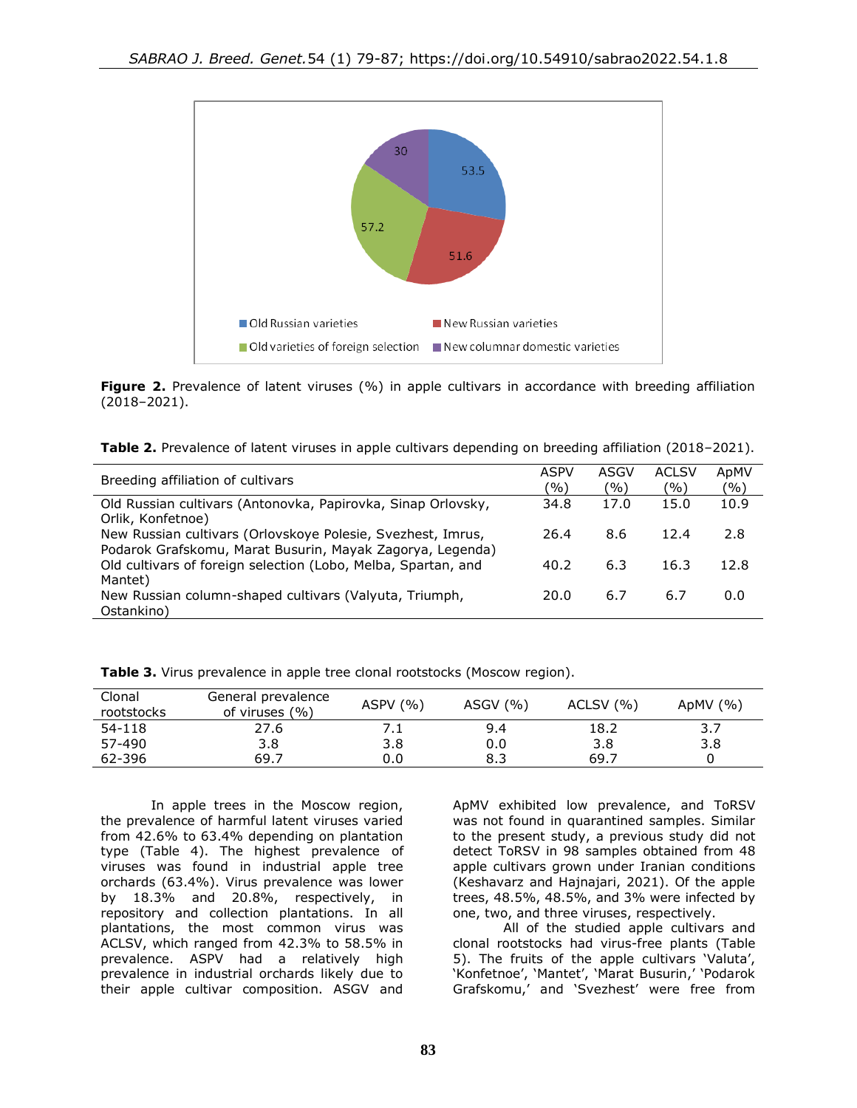

**Figure 2.** Prevalence of latent viruses (%) in apple cultivars in accordance with breeding affiliation (2018–2021).

| Table 2. Prevalence of latent viruses in apple cultivars depending on breeding affiliation (2018-2021). |  |  |  |  |
|---------------------------------------------------------------------------------------------------------|--|--|--|--|
|                                                                                                         |  |  |  |  |

| Breeding affiliation of cultivars                                                                                        | <b>ASPV</b><br>'%) | ASGV<br>(9/0) | <b>ACLSV</b><br>(9/0) | ApMV<br>(0/0) |
|--------------------------------------------------------------------------------------------------------------------------|--------------------|---------------|-----------------------|---------------|
| Old Russian cultivars (Antonovka, Papirovka, Sinap Orlovsky,<br>Orlik, Konfetnoe)                                        | 34.8               | 17.0          | 15.0                  | 10.9          |
| New Russian cultivars (Orlovskoye Polesie, Svezhest, Imrus,<br>Podarok Grafskomu, Marat Busurin, Mayak Zagorya, Legenda) | 26.4               | 8.6           | 12.4                  | 2.8           |
| Old cultivars of foreign selection (Lobo, Melba, Spartan, and<br>Mantet)                                                 | 40.2               | 6.3           | 16.3                  | 12.8          |
| New Russian column-shaped cultivars (Valyuta, Triumph,<br>Ostankino)                                                     | 20.0               | 6.7           | 6.7                   | 0.0           |

| Clonal<br>rootstocks | General prevalence<br>of viruses $(\% )$ | ASPV $(% )$ | ASGV $(% )$ | ACLSV (%) | ApMV $(% )$ |
|----------------------|------------------------------------------|-------------|-------------|-----------|-------------|
| 54-118               | 27.6                                     | ـ. .        | 9.4         | 18.2      | 3.7         |
| 57-490               | 3.8                                      | 3.8         | 0.0         | 3.8       | 3.8         |
| 62-396               | 69.7                                     | 0.0         | 8.3         | 69.7      |             |

**Table 3.** Virus prevalence in apple tree clonal rootstocks (Moscow region).

In apple trees in the Moscow region, the prevalence of harmful latent viruses varied from 42.6% to 63.4% depending on plantation type (Table 4). The highest prevalence of viruses was found in industrial apple tree orchards (63.4%). Virus prevalence was lower by 18.3% and 20.8%, respectively, in repository and collection plantations. In all plantations, the most common virus was ACLSV, which ranged from 42.3% to 58.5% in prevalence. ASPV had a relatively high prevalence in industrial orchards likely due to their apple cultivar composition. ASGV and

ApMV exhibited low prevalence, and ToRSV was not found in quarantined samples. Similar to the present study, a previous study did not detect ToRSV in 98 samples obtained from 48 apple cultivars grown under Iranian conditions (Keshavarz and Hajnajari, 2021). Of the apple trees, 48.5%, 48.5%, and 3% were infected by one, two, and three viruses, respectively.

All of the studied apple cultivars and clonal rootstocks had virus-free plants (Table 5). The fruits of the apple cultivars 'Valuta', 'Konfetnoe', 'Mantet', 'Marat Busurin,' 'Podarok Grafskomu,' and 'Svezhest' were free from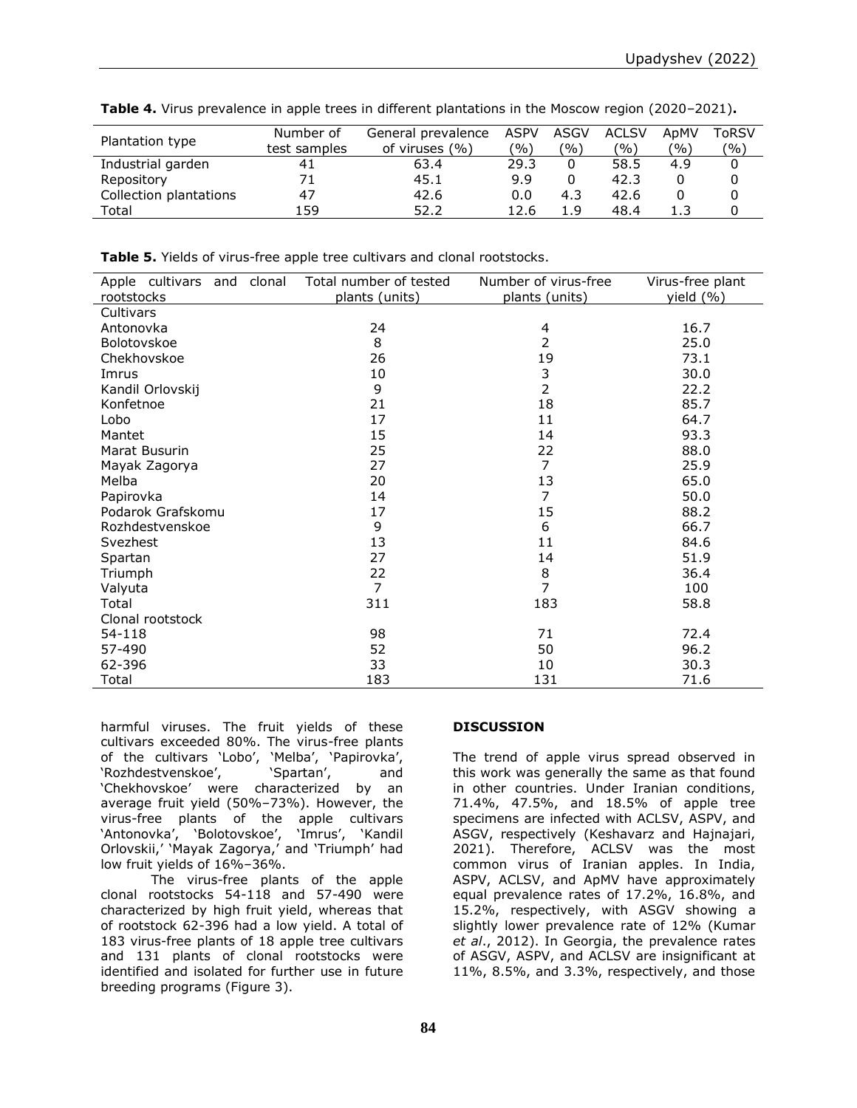|                        | Number of    | General prevalence | ASPV          | ASGV | ACLSV | ApMV | ToRSV |
|------------------------|--------------|--------------------|---------------|------|-------|------|-------|
| Plantation type        | test samples | of viruses $(\% )$ | $\frac{1}{2}$ | (%)  | ′%)   | (%)  | (%)   |
| Industrial garden      | 41           | 63.4               | 29.3          |      | 58.5  | 4.9  |       |
| Repository             | 71           | 45.1               | 9.9           |      | 42.3  |      |       |
| Collection plantations | 47           | 42.6               | 0.0           | 4.3  | 42.6  |      |       |
| Total                  | 159          | 52.2               | 12.6          | 1.9  | 48.4  |      |       |

**Table 4.** Virus prevalence in apple trees in different plantations in the Moscow region (2020–2021)**.**

**Table 5.** Yields of virus-free apple tree cultivars and clonal rootstocks.

| Apple cultivars and | clonal | Total number of tested           | Number of virus-free | Virus-free plant |
|---------------------|--------|----------------------------------|----------------------|------------------|
| rootstocks          |        | plants (units)<br>plants (units) |                      | yield (%)        |
| Cultivars           |        |                                  |                      |                  |
| Antonovka           |        | 24                               | 4                    | 16.7             |
| Bolotovskoe         |        | 8                                | 2                    | 25.0             |
| Chekhovskoe         |        | 26                               | 19                   | 73.1             |
| Imrus               |        | 10                               | 3                    | 30.0             |
| Kandil Orlovskij    |        | 9                                | $\overline{2}$       | 22.2             |
| Konfetnoe           |        | 21                               | 18                   | 85.7             |
| Lobo                |        | 17                               | 11                   | 64.7             |
| Mantet              |        | 15                               | 14                   | 93.3             |
| Marat Busurin       |        | 25                               | 22                   | 88.0             |
| Mayak Zagorya       |        | 27                               | 7                    | 25.9             |
| Melba               |        | 20                               | 13                   | 65.0             |
| Papirovka           |        | 14                               | 7                    | 50.0             |
| Podarok Grafskomu   |        | 17                               | 15                   | 88.2             |
| Rozhdestvenskoe     |        | 9                                | 6                    | 66.7             |
| Svezhest            |        | 13                               | 11                   | 84.6             |
| Spartan             |        | 27                               | 14                   | 51.9             |
| Triumph             |        | 22                               | 8                    | 36.4             |
| Valyuta             |        | $\overline{7}$                   | $\overline{7}$       | 100              |
| Total               |        | 311                              | 183                  | 58.8             |
| Clonal rootstock    |        |                                  |                      |                  |
| 54-118              |        | 98                               | 71                   | 72.4             |
| 57-490              |        | 52                               | 50                   | 96.2             |
| 62-396              |        | 33                               | 10                   | 30.3             |
| Total               |        | 183                              | 131                  | 71.6             |

harmful viruses. The fruit yields of these cultivars exceeded 80%. The virus-free plants of the cultivars 'Lobo', 'Melba', 'Papirovka', 'Rozhdestvenskoe', 'Spartan', and 'Chekhovskoe' were characterized by an average fruit yield (50%–73%). However, the virus-free plants of the apple cultivars 'Antonovka', 'Bolotovskoe', 'Imrus', 'Kandil Orlovskii,' 'Mayak Zagorya,' and 'Triumph' had low fruit yields of 16%–36%.

The virus-free plants of the apple clonal rootstocks 54-118 and 57-490 were characterized by high fruit yield, whereas that of rootstock 62-396 had a low yield. A total of 183 virus-free plants of 18 apple tree cultivars and 131 plants of clonal rootstocks were identified and isolated for further use in future breeding programs (Figure 3).

## **DISCUSSION**

The trend of apple virus spread observed in this work was generally the same as that found in other countries. Under Iranian conditions, 71.4%, 47.5%, and 18.5% of apple tree specimens are infected with ACLSV, ASPV, and ASGV, respectively (Keshavarz and Hajnajari, 2021). Therefore, ACLSV was the most common virus of Iranian apples. In India, ASPV, ACLSV, and ApMV have approximately equal prevalence rates of 17.2%, 16.8%, and 15.2%, respectively, with ASGV showing a slightly lower prevalence rate of 12% (Kumar *et al*., 2012). In Georgia, the prevalence rates of ASGV, ASPV, and ACLSV are insignificant at 11%, 8.5%, and 3.3%, respectively, and those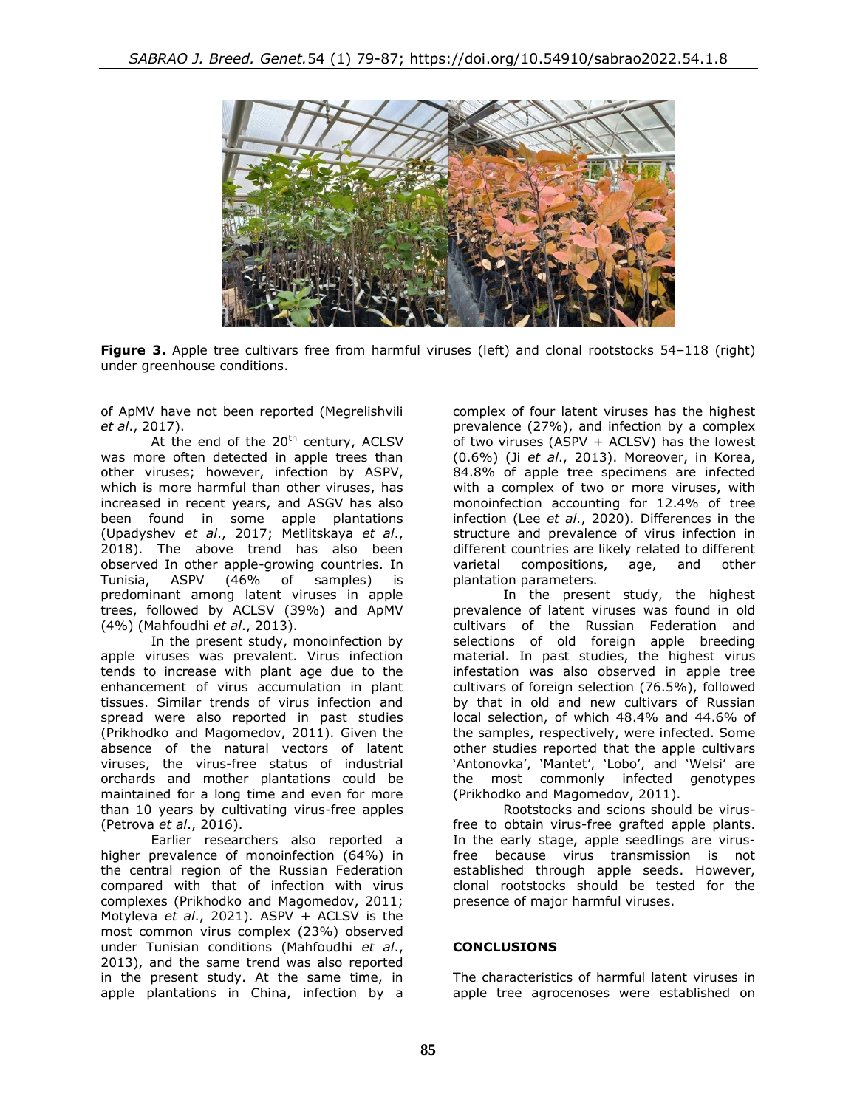

**Figure 3.** Apple tree cultivars free from harmful viruses (left) and clonal rootstocks 54–118 (right) under greenhouse conditions.

of ApMV have not been reported (Megrelishvili *et al*., 2017).

At the end of the  $20<sup>th</sup>$  century, ACLSV was more often detected in apple trees than other viruses; however, infection by ASPV, which is more harmful than other viruses, has increased in recent years, and ASGV has also been found in some apple plantations (Upadyshev *et al*., 2017; Metlitskaya *et al*., 2018). The above trend has also been observed In other apple-growing countries. In Tunisia, ASPV (46% of samples) is predominant among latent viruses in apple trees, followed by ACLSV (39%) and ApMV (4%) (Mahfoudhi *et al*., 2013).

In the present study, monoinfection by apple viruses was prevalent. Virus infection tends to increase with plant age due to the enhancement of virus accumulation in plant tissues. Similar trends of virus infection and spread were also reported in past studies (Prikhodko and Magomedov, 2011). Given the absence of the natural vectors of latent viruses, the virus-free status of industrial orchards and mother plantations could be maintained for a long time and even for more than 10 years by cultivating virus-free apples (Petrova *et al*., 2016).

Earlier researchers also reported a higher prevalence of monoinfection (64%) in the central region of the Russian Federation compared with that of infection with virus complexes (Prikhodko and Magomedov, 2011; Motyleva *et al*., 2021). ASPV + ACLSV is the most common virus complex (23%) observed under Tunisian conditions (Mahfoudhi *et al*., 2013), and the same trend was also reported in the present study. At the same time, in apple plantations in China, infection by a

complex of four latent viruses has the highest prevalence (27%), and infection by a complex of two viruses (ASPV + ACLSV) has the lowest (0.6%) (Ji *et al*., 2013). Moreover, in Korea, 84.8% of apple tree specimens are infected with a complex of two or more viruses, with monoinfection accounting for 12.4% of tree infection (Lee *et al*., 2020). Differences in the structure and prevalence of virus infection in different countries are likely related to different varietal compositions, age, and other plantation parameters.

In the present study, the highest prevalence of latent viruses was found in old cultivars of the Russian Federation and selections of old foreign apple breeding material. In past studies, the highest virus infestation was also observed in apple tree cultivars of foreign selection (76.5%), followed by that in old and new cultivars of Russian local selection, of which 48.4% and 44.6% of the samples, respectively, were infected. Some other studies reported that the apple cultivars 'Antonovka', 'Mantet', 'Lobo', and 'Welsi' are the most commonly infected genotypes (Prikhodko and Magomedov, 2011).

Rootstocks and scions should be virusfree to obtain virus-free grafted apple plants. In the early stage, apple seedlings are virusfree because virus transmission is not established through apple seeds. However, clonal rootstocks should be tested for the presence of major harmful viruses.

## **CONCLUSIONS**

The characteristics of harmful latent viruses in apple tree agrocenoses were established on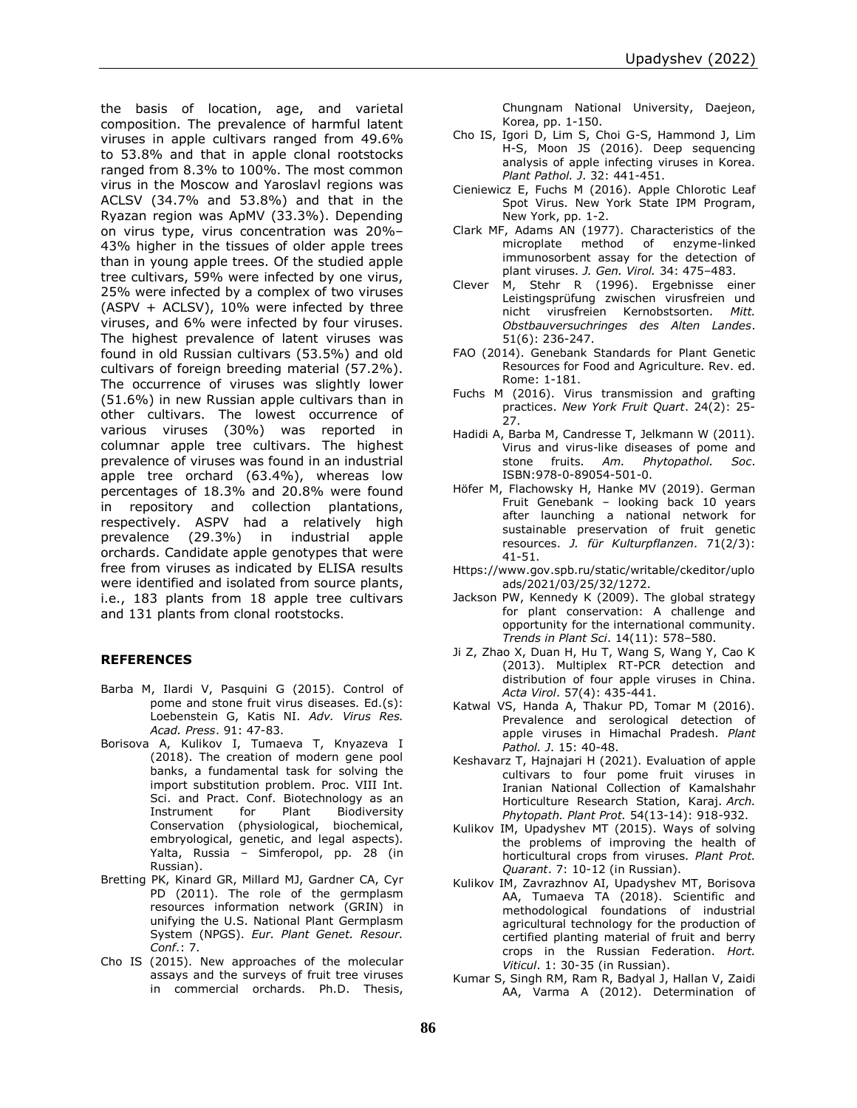the basis of location, age, and varietal composition. The prevalence of harmful latent viruses in apple cultivars ranged from 49.6% to 53.8% and that in apple clonal rootstocks ranged from 8.3% to 100%. The most common virus in the Moscow and Yaroslavl regions was ACLSV (34.7% and 53.8%) and that in the Ryazan region was ApMV (33.3%). Depending on virus type, virus concentration was 20%– 43% higher in the tissues of older apple trees than in young apple trees. Of the studied apple tree cultivars, 59% were infected by one virus, 25% were infected by a complex of two viruses (ASPV + ACLSV), 10% were infected by three viruses, and 6% were infected by four viruses. The highest prevalence of latent viruses was found in old Russian cultivars (53.5%) and old cultivars of foreign breeding material (57.2%). The occurrence of viruses was slightly lower (51.6%) in new Russian apple cultivars than in other cultivars. The lowest occurrence of various viruses (30%) was reported in columnar apple tree cultivars. The highest prevalence of viruses was found in an industrial apple tree orchard (63.4%), whereas low percentages of 18.3% and 20.8% were found in repository and collection plantations, respectively. ASPV had a relatively high prevalence (29.3%) in industrial apple orchards. Candidate apple genotypes that were free from viruses as indicated by ELISA results were identified and isolated from source plants, i.e., 183 plants from 18 apple tree cultivars and 131 plants from clonal rootstocks.

### **REFERENCES**

- Barba M, Ilardi V, Pasquini G (2015). Control of pome and stone fruit virus diseases. Ed.(s): Loebenstein G, Katis NI. *Adv. Virus Res. Acad. Press*. 91: 47-83.
- Borisova A, Kulikov I, Tumaeva T, Knyazeva I (2018). The creation of modern gene pool banks, a fundamental task for solving the import substitution problem. Proc. VIII Int. Sci. and Pract. Conf. Biotechnology as an Instrument for Plant Biodiversity Conservation (physiological, biochemical, embryological, genetic, and legal aspects). Yalta, Russia – Simferopol, pp. 28 (in Russian).
- Bretting PK, Kinard GR, Millard MJ, Gardner CA, Cyr PD (2011). The role of the germplasm resources information network (GRIN) in unifying the U.S. National Plant Germplasm System (NPGS). *Eur. Plant Genet. Resour. Conf*.: 7.
- Cho IS (2015). New approaches of the molecular assays and the surveys of fruit tree viruses in commercial orchards. Ph.D. Thesis,

Chungnam National University, Daejeon, Korea, pp. 1-150.

- Cho IS, Igori D, Lim S, Choi G-S, Hammond J, Lim H-S, Moon JS (2016). Deep sequencing analysis of apple infecting viruses in Korea. *Plant Pathol. J*. 32: 441-451.
- Cieniewicz E, Fuchs M (2016). Apple Chlorotic Leaf Spot Virus. New York State IPM Program, New York, pp. 1-2.
- Clark MF, Adams AN (1977). Characteristics of the microplate method of enzyme-linked immunosorbent assay for the detection of plant viruses. *J. Gen. Virol.* 34: 475–483.
- Clever M, Stehr R (1996). Ergebnisse einer Leistingsprüfung zwischen virusfreien und nicht virusfreien Kernobstsorten. *Mitt. Obstbauversuchringes des Alten Landes*. 51(6): 236-247.
- FAO (2014). Genebank Standards for Plant Genetic Resources for Food and Agriculture. Rev. ed. Rome: 1-181.
- Fuchs M (2016). Virus transmission and grafting practices. *New York Fruit Quart*. 24(2): 25- 27.
- Hadidi A, Barba M, Candresse T, Jelkmann W (2011). Virus and virus-like diseases of pome and stone fruits. *Am. Phytopathol. Soc*. ISBN:978-0-89054-501-0.
- Höfer M, Flachowsky H, Hanke MV (2019). German Fruit Genebank – looking back 10 years after launching a national network for sustainable preservation of fruit genetic resources. *J. für Kulturpflanzen*. 71(2/3): 41-51.
- Https://www.gov.spb.ru/static/writable/ckeditor/uplo ads/2021/03/25/32/1272.
- Jackson PW, [Kennedy](https://www.sciencedirect.com/science/article/pii/S136013850900212X#!) K (2009). The global strategy for plant conservation: A challenge and opportunity for the international community. *Trends in Plant Sci*. 14(11): 578–580.
- Ji Z, Zhao X, Duan H, Hu T, Wang S, Wang Y, Cao K (2013). Multiplex RT-PCR detection and distribution of four apple viruses in China. *Acta Virol*. 57(4): 435-441.
- Katwal VS, Handa A, Thakur PD, Tomar M (2016). Prevalence and serological detection of apple viruses in Himachal Pradesh. *Plant Pathol. J*. 15: 40-48.
- Keshavarz T, Hajnajari H (2021). Evaluation of apple cultivars to four pome fruit viruses in Iranian National Collection of Kamalshahr Horticulture Research Station, Karaj. *Arch. Phytopath. Plant Prot.* 54(13-14): 918-932.
- Kulikov IM, Upadyshev MT (2015). Ways of solving the problems of improving the health of horticultural crops from viruses. *Plant Prot. Quarant*. 7: 10-12 (in Russian).
- Kulikov IM, Zavrazhnov AI, Upadyshev MT, Borisova AA, Tumaeva TA (2018). Scientific and methodological foundations of industrial agricultural technology for the production of certified planting material of fruit and berry crops in the Russian Federation. *Hort. Viticul*. 1: 30-35 (in Russian).
- Kumar S, Singh RM, Ram R, Badyal J, Hallan V, Zaidi AA, Varma A (2012). Determination of